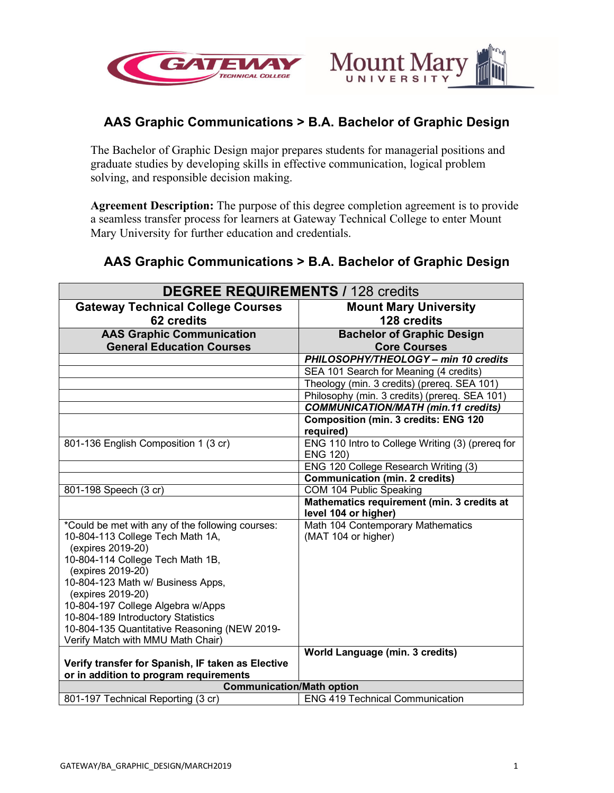



# **AAS Graphic Communications > B.A. Bachelor of Graphic Design**

The Bachelor of Graphic Design major prepares students for managerial positions and graduate studies by developing skills in effective communication, logical problem solving, and responsible decision making.

**Agreement Description:** The purpose of this degree completion agreement is to provide a seamless transfer process for learners at Gateway Technical College to enter Mount Mary University for further education and credentials.

# **AAS Graphic Communications > B.A. Bachelor of Graphic Design**

| <b>DEGREE REQUIREMENTS / 128 credits</b>                                                                                                                                                                                                                                                                                                                                                                                                          |                                                                                             |
|---------------------------------------------------------------------------------------------------------------------------------------------------------------------------------------------------------------------------------------------------------------------------------------------------------------------------------------------------------------------------------------------------------------------------------------------------|---------------------------------------------------------------------------------------------|
| <b>Gateway Technical College Courses</b>                                                                                                                                                                                                                                                                                                                                                                                                          | <b>Mount Mary University</b>                                                                |
| 62 credits                                                                                                                                                                                                                                                                                                                                                                                                                                        | 128 credits                                                                                 |
| <b>AAS Graphic Communication</b>                                                                                                                                                                                                                                                                                                                                                                                                                  | <b>Bachelor of Graphic Design</b>                                                           |
| <b>General Education Courses</b>                                                                                                                                                                                                                                                                                                                                                                                                                  | <b>Core Courses</b>                                                                         |
|                                                                                                                                                                                                                                                                                                                                                                                                                                                   | PHILOSOPHY/THEOLOGY - min 10 credits                                                        |
|                                                                                                                                                                                                                                                                                                                                                                                                                                                   | SEA 101 Search for Meaning (4 credits)                                                      |
|                                                                                                                                                                                                                                                                                                                                                                                                                                                   | Theology (min. 3 credits) (prereq. SEA 101)                                                 |
|                                                                                                                                                                                                                                                                                                                                                                                                                                                   | Philosophy (min. 3 credits) (prereq. SEA 101)                                               |
|                                                                                                                                                                                                                                                                                                                                                                                                                                                   | <b>COMMUNICATION/MATH (min.11 credits)</b>                                                  |
|                                                                                                                                                                                                                                                                                                                                                                                                                                                   | <b>Composition (min. 3 credits: ENG 120</b><br>required)                                    |
| 801-136 English Composition 1 (3 cr)                                                                                                                                                                                                                                                                                                                                                                                                              | ENG 110 Intro to College Writing (3) (prereg for<br><b>ENG 120)</b>                         |
|                                                                                                                                                                                                                                                                                                                                                                                                                                                   | ENG 120 College Research Writing (3)                                                        |
|                                                                                                                                                                                                                                                                                                                                                                                                                                                   | <b>Communication (min. 2 credits)</b>                                                       |
| 801-198 Speech (3 cr)                                                                                                                                                                                                                                                                                                                                                                                                                             | COM 104 Public Speaking                                                                     |
|                                                                                                                                                                                                                                                                                                                                                                                                                                                   | Mathematics requirement (min. 3 credits at<br>level 104 or higher)                          |
| *Could be met with any of the following courses:<br>10-804-113 College Tech Math 1A,<br>(expires 2019-20)<br>10-804-114 College Tech Math 1B,<br>(expires 2019-20)<br>10-804-123 Math w/ Business Apps,<br>(expires 2019-20)<br>10-804-197 College Algebra w/Apps<br>10-804-189 Introductory Statistics<br>10-804-135 Quantitative Reasoning (NEW 2019-<br>Verify Match with MMU Math Chair)<br>Verify transfer for Spanish, IF taken as Elective | Math 104 Contemporary Mathematics<br>(MAT 104 or higher)<br>World Language (min. 3 credits) |
| or in addition to program requirements<br><b>Communication/Math option</b>                                                                                                                                                                                                                                                                                                                                                                        |                                                                                             |
| 801-197 Technical Reporting (3 cr)                                                                                                                                                                                                                                                                                                                                                                                                                | <b>ENG 419 Technical Communication</b>                                                      |
|                                                                                                                                                                                                                                                                                                                                                                                                                                                   |                                                                                             |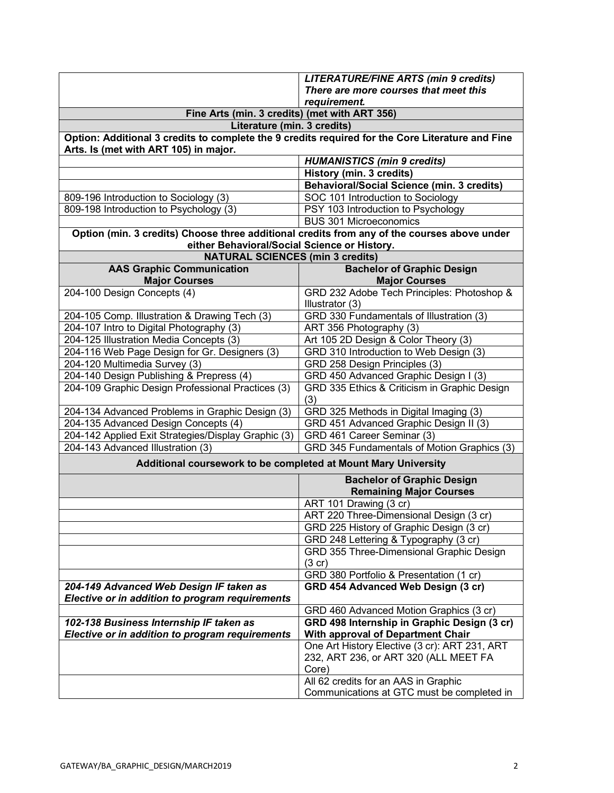|                                                                                                  | <b>LITERATURE/FINE ARTS (min 9 credits)</b>       |
|--------------------------------------------------------------------------------------------------|---------------------------------------------------|
|                                                                                                  | There are more courses that meet this             |
|                                                                                                  | requirement.                                      |
| Fine Arts (min. 3 credits) (met with ART 356)                                                    |                                                   |
| Literature (min. 3 credits)                                                                      |                                                   |
| Option: Additional 3 credits to complete the 9 credits required for the Core Literature and Fine |                                                   |
| Arts. Is (met with ART 105) in major.                                                            |                                                   |
|                                                                                                  | <b>HUMANISTICS (min 9 credits)</b>                |
|                                                                                                  | History (min. 3 credits)                          |
|                                                                                                  | <b>Behavioral/Social Science (min. 3 credits)</b> |
| 809-196 Introduction to Sociology (3)                                                            | SOC 101 Introduction to Sociology                 |
| 809-198 Introduction to Psychology (3)                                                           | PSY 103 Introduction to Psychology                |
|                                                                                                  | <b>BUS 301 Microeconomics</b>                     |
| Option (min. 3 credits) Choose three additional credits from any of the courses above under      |                                                   |
| either Behavioral/Social Science or History.                                                     |                                                   |
| <b>NATURAL SCIENCES (min 3 credits)</b>                                                          |                                                   |
| <b>AAS Graphic Communication</b>                                                                 | <b>Bachelor of Graphic Design</b>                 |
| <b>Major Courses</b>                                                                             | <b>Major Courses</b>                              |
| 204-100 Design Concepts (4)                                                                      | GRD 232 Adobe Tech Principles: Photoshop &        |
|                                                                                                  | Illustrator (3)                                   |
| 204-105 Comp. Illustration & Drawing Tech (3)                                                    | GRD 330 Fundamentals of Illustration (3)          |
| 204-107 Intro to Digital Photography (3)                                                         | ART 356 Photography (3)                           |
| 204-125 Illustration Media Concepts (3)                                                          | Art 105 2D Design & Color Theory (3)              |
| 204-116 Web Page Design for Gr. Designers (3)                                                    | GRD 310 Introduction to Web Design (3)            |
| 204-120 Multimedia Survey (3)                                                                    | GRD 258 Design Principles (3)                     |
| 204-140 Design Publishing & Prepress (4)                                                         | GRD 450 Advanced Graphic Design I (3)             |
| 204-109 Graphic Design Professional Practices (3)                                                | GRD 335 Ethics & Criticism in Graphic Design      |
|                                                                                                  | (3)                                               |
| 204-134 Advanced Problems in Graphic Design (3)                                                  | GRD 325 Methods in Digital Imaging (3)            |
| 204-135 Advanced Design Concepts (4)                                                             | GRD 451 Advanced Graphic Design II (3)            |
| 204-142 Applied Exit Strategies/Display Graphic (3)                                              | GRD 461 Career Seminar (3)                        |
| 204-143 Advanced Illustration (3)                                                                | GRD 345 Fundamentals of Motion Graphics (3)       |
| Additional coursework to be completed at Mount Mary University                                   |                                                   |
|                                                                                                  | <b>Bachelor of Graphic Design</b>                 |
|                                                                                                  | <b>Remaining Major Courses</b>                    |
|                                                                                                  | ART 101 Drawing (3 cr)                            |
|                                                                                                  | ART 220 Three-Dimensional Design (3 cr)           |
|                                                                                                  | GRD 225 History of Graphic Design (3 cr)          |
|                                                                                                  | GRD 248 Lettering & Typography (3 cr)             |
|                                                                                                  | GRD 355 Three-Dimensional Graphic Design          |
|                                                                                                  | (3 cr)                                            |
|                                                                                                  | GRD 380 Portfolio & Presentation (1 cr)           |
| 204-149 Advanced Web Design IF taken as                                                          | GRD 454 Advanced Web Design (3 cr)                |
| Elective or in addition to program requirements                                                  |                                                   |
|                                                                                                  | GRD 460 Advanced Motion Graphics (3 cr)           |
| 102-138 Business Internship IF taken as                                                          | GRD 498 Internship in Graphic Design (3 cr)       |
| Elective or in addition to program requirements                                                  | <b>With approval of Department Chair</b>          |
|                                                                                                  | One Art History Elective (3 cr): ART 231, ART     |
|                                                                                                  | 232, ART 236, or ART 320 (ALL MEET FA             |
|                                                                                                  | Core)                                             |
|                                                                                                  | All 62 credits for an AAS in Graphic              |
|                                                                                                  | Communications at GTC must be completed in        |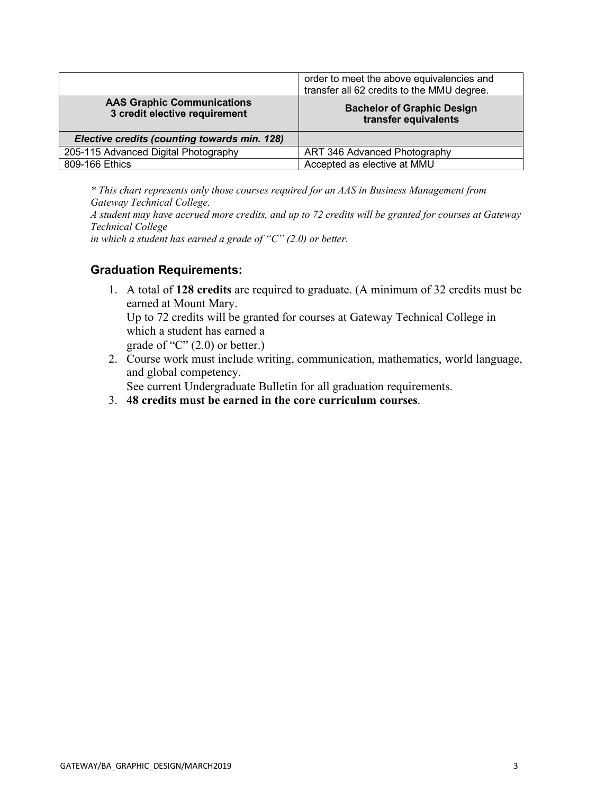|                                                                    | order to meet the above equivalencies and<br>transfer all 62 credits to the MMU degree. |
|--------------------------------------------------------------------|-----------------------------------------------------------------------------------------|
| <b>AAS Graphic Communications</b><br>3 credit elective requirement | <b>Bachelor of Graphic Design</b><br>transfer equivalents                               |
| Elective credits (counting towards min. 128)                       |                                                                                         |
| 205-115 Advanced Digital Photography                               | ART 346 Advanced Photography                                                            |
| 809-166 Ethics                                                     | Accepted as elective at MMU                                                             |

*\* This chart represents only those courses required for an AAS in Business Management from Gateway Technical College.* 

*A student may have accrued more credits, and up to 72 credits will be granted for courses at Gateway Technical College* 

*in which a student has earned a grade of "C" (2.0) or better.* 

#### **Graduation Requirements:**

1. A total of **128 credits** are required to graduate. (A minimum of 32 credits must be earned at Mount Mary. Up to 72 credits will be granted for courses at Gateway Technical College in which a student has earned a

grade of " $C$ "  $(2.0)$  or better.)

2. Course work must include writing, communication, mathematics, world language, and global competency.

See current Undergraduate Bulletin for all graduation requirements.

3. **48 credits must be earned in the core curriculum courses**.